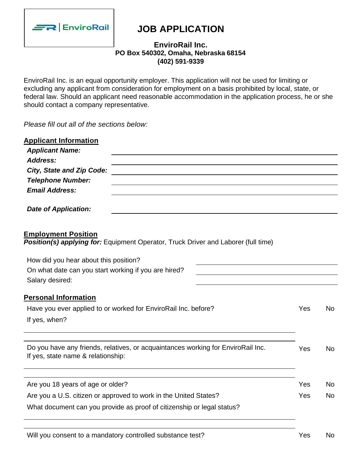

# **JOB APPLICATION**

# **EnviroRail Inc. PO Box 540302, Omaha, Nebraska 68154 (402) 591-9339**

EnviroRail Inc. is an equal opportunity employer. This application will not be used for limiting or excluding any applicant from consideration for employment on a basis prohibited by local, state, or federal law. Should an applicant need reasonable accommodation in the application process, he or she should contact a company representative.

*Please fill out all of the sections below:*

| <b>Applicant Information</b><br><b>Applicant Name:</b>                                                                                     |  |     |           |
|--------------------------------------------------------------------------------------------------------------------------------------------|--|-----|-----------|
| Address:                                                                                                                                   |  |     |           |
| <b>City, State and Zip Code:</b>                                                                                                           |  |     |           |
| <b>Telephone Number:</b>                                                                                                                   |  |     |           |
| <b>Email Address:</b>                                                                                                                      |  |     |           |
| <b>Date of Application:</b>                                                                                                                |  |     |           |
| <b>Employment Position</b><br>Position(s) applying for: Equipment Operator, Truck Driver and Laborer (full time)                           |  |     |           |
| How did you hear about this position?                                                                                                      |  |     |           |
| On what date can you start working if you are hired?                                                                                       |  |     |           |
| Salary desired:                                                                                                                            |  |     |           |
| <b>Personal Information</b>                                                                                                                |  |     |           |
| Have you ever applied to or worked for EnviroRail Inc. before?                                                                             |  | Yes | <b>No</b> |
| If yes, when?                                                                                                                              |  |     |           |
|                                                                                                                                            |  |     |           |
| Do you have any friends, relatives, or acquaintances working for EnviroRail Inc.<br>If yes, state name & relationship:                     |  | Yes | <b>No</b> |
| Are you 18 years of age or older?                                                                                                          |  | Yes | No.       |
|                                                                                                                                            |  | Yes | <b>No</b> |
| Are you a U.S. citizen or approved to work in the United States?<br>What document can you provide as proof of citizenship or legal status? |  |     |           |
|                                                                                                                                            |  |     |           |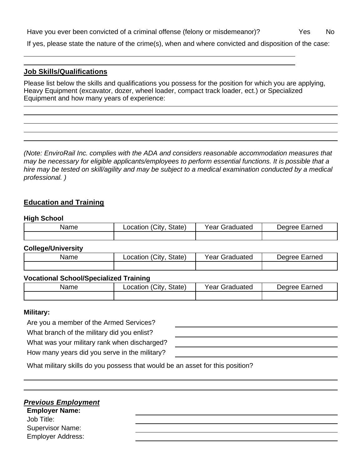Have you ever been convicted of a criminal offense (felony or misdemeanor)? Yes No

If yes, please state the nature of the crime(s), when and where convicted and disposition of the case:

### **Job Skills/Qualifications**

Please list below the skills and qualifications you possess for the position for which you are applying, Heavy Equipment (excavator, dozer, wheel loader, compact track loader, ect.) or Specialized Equipment and how many years of experience:

*(Note: EnviroRail Inc. complies with the ADA and considers reasonable accommodation measures that may be necessary for eligible applicants/employees to perform essential functions. It is possible that a* hire may be tested on skill/agility and may be subject to a medical examination conducted by a medical *professional. )*

# **Education and Training**

#### **High School**

| Name | Location (City | Year G.   | Jearee |
|------|----------------|-----------|--------|
|      | State)         | Graduated | Earned |
|      |                |           |        |

#### **College/University**

| Name | ∟ocation (City<br>State) | <b>Year Graduated</b> | Jearee Earned |
|------|--------------------------|-----------------------|---------------|
|      |                          |                       |               |

#### **Vocational School/Specialized Training**

| Name | (City)<br>State)<br>_ocation | Vear C<br>Graduated | Larned<br>Jearee |
|------|------------------------------|---------------------|------------------|
|      |                              |                     |                  |

#### **Military:**

Are you a member of the Armed Services?

What branch of the military did you enlist?

What was your military rank when discharged?

How many years did you serve in the military?

|  |  |  |  |  | What military skills do you possess that would be an asset for this position? |
|--|--|--|--|--|-------------------------------------------------------------------------------|
|--|--|--|--|--|-------------------------------------------------------------------------------|

# *Previous Employment*

**Employer Name:** Job Title: Supervisor Name: Employer Address: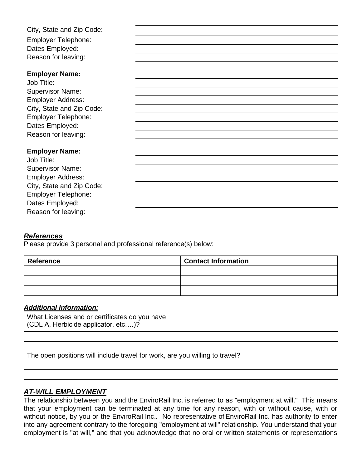City, State and Zip Code: Employer Telephone: Dates Employed: Reason for leaving:

#### **Employer Name:**

Job Title: Supervisor Name: Employer Address: City, State and Zip Code: Employer Telephone: Dates Employed: Reason for leaving:

#### **Employer Name:**

Job Title: Supervisor Name: Employer Address: City, State and Zip Code: Employer Telephone: Dates Employed: Reason for leaving:

# *References*

Please provide 3 personal and professional reference(s) below:

| <b>Reference</b> | <b>Contact Information</b> |
|------------------|----------------------------|
|                  |                            |
|                  |                            |
|                  |                            |

# *Additional Information:*

What Licenses and or certificates do you have (CDL A, Herbicide applicator, etc….)?

The open positions will include travel for work, are you willing to travel?

# *AT-WILL EMPLOYMENT*

The relationship between you and the EnviroRail Inc. is referred to as "employment at will." This means that your employment can be terminated at any time for any reason, with or without cause, with or without notice, by you or the EnviroRail Inc.. No representative of EnviroRail Inc. has authority to enter into any agreement contrary to the foregoing "employment at will" relationship. You understand that your employment is "at will," and that you acknowledge that no oral or written statements or representations